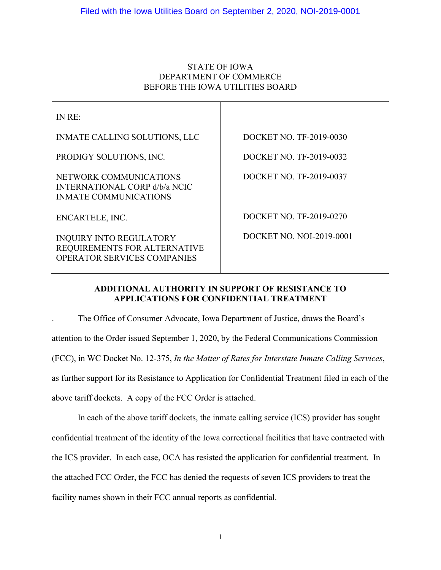# STATE OF IOWA DEPARTMENT OF COMMERCE BEFORE THE IOWA UTILITIES BOARD

Τ

| IN RE:                                                                                               |                          |
|------------------------------------------------------------------------------------------------------|--------------------------|
| <b>INMATE CALLING SOLUTIONS, LLC</b>                                                                 | DOCKET NO. TF-2019-0030  |
| PRODIGY SOLUTIONS, INC.                                                                              | DOCKET NO. TF-2019-0032  |
| NETWORK COMMUNICATIONS<br><b>INTERNATIONAL CORP d/b/a NCIC</b><br><b>INMATE COMMUNICATIONS</b>       | DOCKET NO. TF-2019-0037  |
| ENCARTELE, INC.                                                                                      | DOCKET NO. TF-2019-0270  |
| <b>INQUIRY INTO REGULATORY</b><br>REQUIREMENTS FOR ALTERNATIVE<br><b>OPERATOR SERVICES COMPANIES</b> | DOCKET NO. NOI-2019-0001 |

# **ADDITIONAL AUTHORITY IN SUPPORT OF RESISTANCE TO APPLICATIONS FOR CONFIDENTIAL TREATMENT**

. The Office of Consumer Advocate, Iowa Department of Justice, draws the Board's attention to the Order issued September 1, 2020, by the Federal Communications Commission (FCC), in WC Docket No. 12-375, *In the Matter of Rates for Interstate Inmate Calling Services*, as further support for its Resistance to Application for Confidential Treatment filed in each of the above tariff dockets. A copy of the FCC Order is attached.

In each of the above tariff dockets, the inmate calling service (ICS) provider has sought confidential treatment of the identity of the Iowa correctional facilities that have contracted with the ICS provider. In each case, OCA has resisted the application for confidential treatment. In the attached FCC Order, the FCC has denied the requests of seven ICS providers to treat the facility names shown in their FCC annual reports as confidential.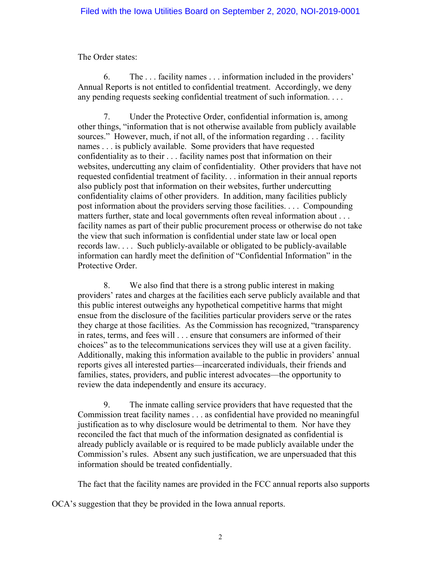The Order states:

6. The . . . facility names . . . information included in the providers' Annual Reports is not entitled to confidential treatment. Accordingly, we deny any pending requests seeking confidential treatment of such information. . . .

7. Under the Protective Order, confidential information is, among other things, "information that is not otherwise available from publicly available sources." However, much, if not all, of the information regarding . . . facility names . . . is publicly available. Some providers that have requested confidentiality as to their . . . facility names post that information on their websites, undercutting any claim of confidentiality. Other providers that have not requested confidential treatment of facility. . . information in their annual reports also publicly post that information on their websites, further undercutting confidentiality claims of other providers. In addition, many facilities publicly post information about the providers serving those facilities. . . . Compounding matters further, state and local governments often reveal information about . . . facility names as part of their public procurement process or otherwise do not take the view that such information is confidential under state law or local open records law. . . . Such publicly-available or obligated to be publicly-available information can hardly meet the definition of "Confidential Information" in the Protective Order.

8. We also find that there is a strong public interest in making providers' rates and charges at the facilities each serve publicly available and that this public interest outweighs any hypothetical competitive harms that might ensue from the disclosure of the facilities particular providers serve or the rates they charge at those facilities. As the Commission has recognized, "transparency in rates, terms, and fees will . . . ensure that consumers are informed of their choices" as to the telecommunications services they will use at a given facility. Additionally, making this information available to the public in providers' annual reports gives all interested parties—incarcerated individuals, their friends and families, states, providers, and public interest advocates—the opportunity to review the data independently and ensure its accuracy.

9. The inmate calling service providers that have requested that the Commission treat facility names . . . as confidential have provided no meaningful justification as to why disclosure would be detrimental to them. Nor have they reconciled the fact that much of the information designated as confidential is already publicly available or is required to be made publicly available under the Commission's rules. Absent any such justification, we are unpersuaded that this information should be treated confidentially.

The fact that the facility names are provided in the FCC annual reports also supports

OCA's suggestion that they be provided in the Iowa annual reports.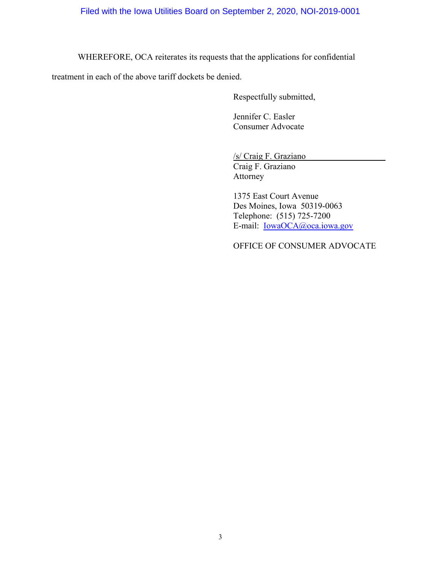WHEREFORE, OCA reiterates its requests that the applications for confidential

treatment in each of the above tariff dockets be denied.

Respectfully submitted,

Jennifer C. Easler Consumer Advocate

/s/ Craig F. Graziano

Craig F. Graziano Attorney

1375 East Court Avenue Des Moines, Iowa 50319-0063 Telephone: (515) 725-7200 E-mail: [IowaOCA@oca.iowa.gov](mailto:IowaOCA@oca.iowa.gov)

OFFICE OF CONSUMER ADVOCATE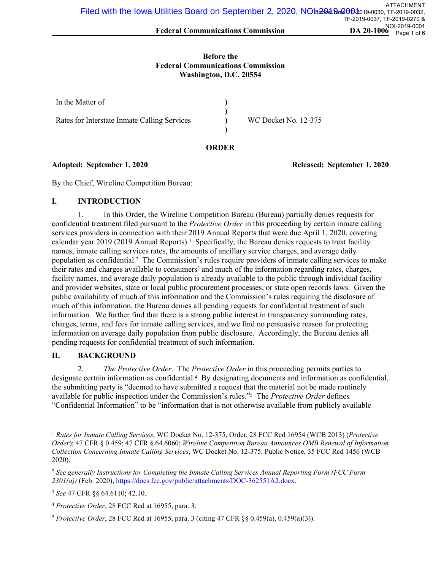#### **Before the Federal Communications Commission Washington, D.C. 20554**

| In the Matter of                             |                      |
|----------------------------------------------|----------------------|
| Rates for Interstate Inmate Calling Services | WC Docket No. 12-375 |

#### **ORDER**

### **Adopted: September 1, 2020 Released: September 1, 2020**

By the Chief, Wireline Competition Bureau:

### **I. INTRODUCTION**

1. In this Order, the Wireline Competition Bureau (Bureau) partially denies requests for confidential treatment filed pursuant to the *Protective Order* in this proceeding by certain inmate calling services providers in connection with their 2019 Annual Reports that were due April 1, 2020, covering calendar year 2019 (2019 Annual Reports).<sup>1</sup> Specifically, the Bureau denies requests to treat facility names, inmate calling services rates, the amounts of ancillary service charges, and average daily population as confidential.<sup>2</sup> The Commission's rules require providers of inmate calling services to make their rates and charges available to consumers<sup>3</sup> and much of the information regarding rates, charges, facility names, and average daily population is already available to the public through individual facility and provider websites, state or local public procurement processes, or state open records laws. Given the public availability of much of this information and the Commission's rules requiring the disclosure of much of this information, the Bureau denies all pending requests for confidential treatment of such information. We further find that there is a strong public interest in transparency surrounding rates, charges, terms, and fees for inmate calling services, and we find no persuasive reason for protecting information on average daily population from public disclosure. Accordingly, the Bureau denies all pending requests for confidential treatment of such information.

# **II. BACKGROUND**

2. *The Protective Order*. The *Protective Order* in this proceeding permits parties to designate certain information as confidential.<sup>4</sup> By designating documents and information as confidential, the submitting party is "deemed to have submitted a request that the material not be made routinely available for public inspection under the Commission's rules."<sup>5</sup> The *Protective Order* defines "Confidential Information" to be "information that is not otherwise available from publicly available

<sup>1</sup> *Rates for Inmate Calling Services*, WC Docket No. 12-375, Order, 28 FCC Rcd 16954 (WCB 2013) (*Protective Order*); 47 CFR § 0.459; 47 CFR § 64.6060; *Wireline Competition Bureau Announces OMB Renewal of Information Collection Concerning Inmate Calling Services*, WC Docket No. 12-375, Public Notice, 35 FCC Rcd 1456 (WCB 2020).

<sup>2</sup> *See generally Instructions for Completing the Inmate Calling Services Annual Reporting Form (FCC Form 2301(a))* (Feb. 2020),<https://docs.fcc.gov/public/attachments/DOC-362551A2.docx>.

<sup>3</sup> *See* 47 CFR §§ 64.6110; 42.10.

<sup>4</sup> *Protective Order*, 28 FCC Rcd at 16955, para. 3.

<sup>5</sup> *Protective Order*, 28 FCC Rcd at 16955, para. 3 (citing 47 CFR §§ 0.459(a), 0.459(a)(3)).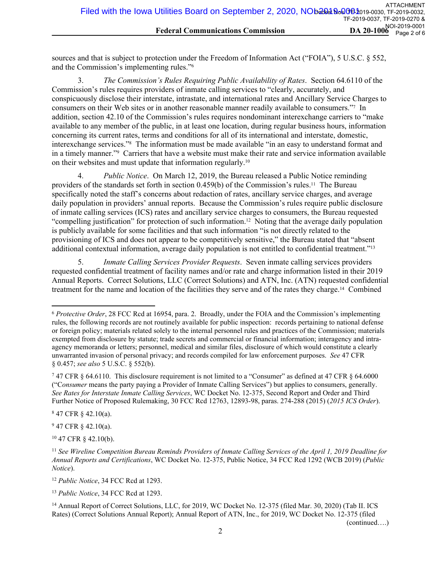sources and that is subject to protection under the Freedom of Information Act ("FOIA"), 5 U.S.C. § 552, and the Commission's implementing rules."<sup>6</sup>

3. *The Commission's Rules Requiring Public Availability of Rates*. Section 64.6110 of the Commission's rules requires providers of inmate calling services to "clearly, accurately, and conspicuously disclose their interstate, intrastate, and international rates and Ancillary Service Charges to consumers on their Web sites or in another reasonable manner readily available to consumers."<sup>7</sup> In addition, section 42.10 of the Commission's rules requires nondominant interexchange carriers to "make available to any member of the public, in at least one location, during regular business hours, information concerning its current rates, terms and conditions for all of its international and interstate, domestic, interexchange services."<sup>8</sup> The information must be made available "in an easy to understand format and in a timely manner."<sup>9</sup> Carriers that have a website must make their rate and service information available on their websites and must update that information regularly.<sup>10</sup>

4. *Public Notice*. On March 12, 2019, the Bureau released a Public Notice reminding providers of the standards set forth in section 0.459(b) of the Commission's rules.11 The Bureau specifically noted the staff's concerns about redaction of rates, ancillary service charges, and average daily population in providers' annual reports. Because the Commission's rules require public disclosure of inmate calling services (ICS) rates and ancillary service charges to consumers, the Bureau requested "compelling justification" for protection of such information.12 Noting that the average daily population is publicly available for some facilities and that such information "is not directly related to the provisioning of ICS and does not appear to be competitively sensitive," the Bureau stated that "absent additional contextual information, average daily population is not entitled to confidential treatment."<sup>13</sup>

5. *Inmate Calling Services Provider Requests*. Seven inmate calling services providers requested confidential treatment of facility names and/or rate and charge information listed in their 2019 Annual Reports. Correct Solutions, LLC (Correct Solutions) and ATN, Inc. (ATN) requested confidential treatment for the name and location of the facilities they serve and of the rates they charge.14 Combined

8 47 CFR § 42.10(a).

 $947$  CFR  $\S$  42.10(a).

<sup>10</sup> 47 CFR § 42.10(b).

<sup>12</sup> *Public Notice*, 34 FCC Rcd at 1293.

<sup>13</sup> *Public Notice*, 34 FCC Rcd at 1293.

(continued….)

<sup>6</sup> *Protective Order*, 28 FCC Rcd at 16954, para. 2. Broadly, under the FOIA and the Commission's implementing rules, the following records are not routinely available for public inspection: records pertaining to national defense or foreign policy; materials related solely to the internal personnel rules and practices of the Commission; materials exempted from disclosure by statute; trade secrets and commercial or financial information; interagency and intraagency memoranda or letters; personnel, medical and similar files, disclosure of which would constitute a clearly unwarranted invasion of personal privacy; and records compiled for law enforcement purposes. *See* 47 CFR § 0.457; *see also* 5 U.S.C. § 552(b).

<sup>7</sup> 47 CFR § 64.6110. This disclosure requirement is not limited to a "Consumer" as defined at 47 CFR § 64.6000 ("C*onsumer* means the party paying a Provider of Inmate Calling Services") but applies to consumers, generally. *See Rates for Interstate Inmate Calling Services*, WC Docket No. 12-375, Second Report and Order and Third Further Notice of Proposed Rulemaking, 30 FCC Rcd 12763, 12893-98, paras. 274-288 (2015) (*2015 ICS Order*).

<sup>11</sup> *See Wireline Competition Bureau Reminds Providers of Inmate Calling Services of the April 1, 2019 Deadline for Annual Reports and Certifications*, WC Docket No. 12-375, Public Notice, 34 FCC Rcd 1292 (WCB 2019) (*Public Notice*).

<sup>&</sup>lt;sup>14</sup> Annual Report of Correct Solutions, LLC, for 2019, WC Docket No. 12-375 (filed Mar. 30, 2020) (Tab II. ICS Rates) (Correct Solutions Annual Report); Annual Report of ATN, Inc., for 2019, WC Docket No. 12-375 (filed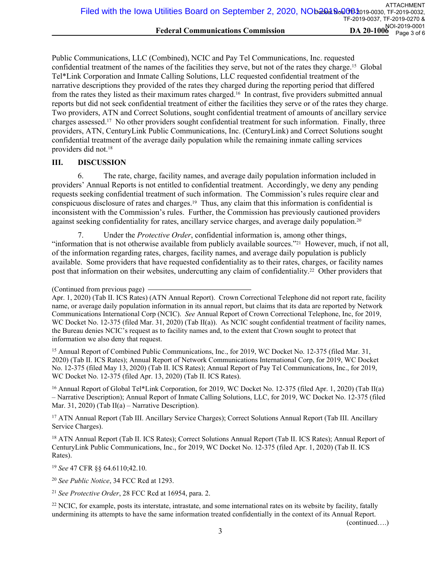Public Communications, LLC (Combined), NCIC and Pay Tel Communications, Inc. requested confidential treatment of the names of the facilities they serve, but not of the rates they charge.15 Global Tel\*Link Corporation and Inmate Calling Solutions, LLC requested confidential treatment of the narrative descriptions they provided of the rates they charged during the reporting period that differed from the rates they listed as their maximum rates charged.16 In contrast, five providers submitted annual reports but did not seek confidential treatment of either the facilities they serve or of the rates they charge. Two providers, ATN and Correct Solutions, sought confidential treatment of amounts of ancillary service charges assessed.17 No other providers sought confidential treatment for such information. Finally, three providers, ATN, CenturyLink Public Communications, Inc. (CenturyLink) and Correct Solutions sought confidential treatment of the average daily population while the remaining inmate calling services providers did not.<sup>18</sup>

# **III. DISCUSSION**

6. The rate, charge, facility names, and average daily population information included in providers' Annual Reports is not entitled to confidential treatment. Accordingly, we deny any pending requests seeking confidential treatment of such information. The Commission's rules require clear and conspicuous disclosure of rates and charges.19 Thus, any claim that this information is confidential is inconsistent with the Commission's rules. Further, the Commission has previously cautioned providers against seeking confidentiality for rates, ancillary service charges, and average daily population.<sup>20</sup>

7. Under the *Protective Order*, confidential information is, among other things, "information that is not otherwise available from publicly available sources."21 However, much, if not all, of the information regarding rates, charges, facility names, and average daily population is publicly available. Some providers that have requested confidentiality as to their rates, charges, or facility names post that information on their websites, undercutting any claim of confidentiality.22 Other providers that

<sup>15</sup> Annual Report of Combined Public Communications, Inc., for 2019, WC Docket No. 12-375 (filed Mar. 31, 2020) (Tab II. ICS Rates); Annual Report of Network Communications International Corp, for 2019, WC Docket No. 12-375 (filed May 13, 2020) (Tab II. ICS Rates); Annual Report of Pay Tel Communications, Inc., for 2019, WC Docket No. 12-375 (filed Apr. 13, 2020) (Tab II. ICS Rates).

<sup>16</sup> Annual Report of Global Tel\*Link Corporation, for 2019, WC Docket No. 12-375 (filed Apr. 1, 2020) (Tab II(a) – Narrative Description); Annual Report of Inmate Calling Solutions, LLC, for 2019, WC Docket No. 12-375 (filed Mar. 31, 2020) (Tab II(a) – Narrative Description).

<sup>17</sup> ATN Annual Report (Tab III. Ancillary Service Charges); Correct Solutions Annual Report (Tab III. Ancillary Service Charges).

<sup>18</sup> ATN Annual Report (Tab II. ICS Rates); Correct Solutions Annual Report (Tab II. ICS Rates); Annual Report of CenturyLink Public Communications, Inc., for 2019, WC Docket No. 12-375 (filed Apr. 1, 2020) (Tab II. ICS Rates).

<sup>19</sup> *See* 47 CFR §§ 64.6110;42.10.

<sup>20</sup> *See Public Notice*, 34 FCC Rcd at 1293.

<sup>21</sup> *See Protective Order*, 28 FCC Rcd at 16954, para. 2.

<sup>22</sup> NCIC, for example, posts its interstate, intrastate, and some international rates on its website by facility, fatally undermining its attempts to have the same information treated confidentially in the context of its Annual Report.

(continued….)

<sup>(</sup>Continued from previous page)

Apr. 1, 2020) (Tab II. ICS Rates) (ATN Annual Report). Crown Correctional Telephone did not report rate, facility name, or average daily population information in its annual report, but claims that its data are reported by Network Communications International Corp (NCIC). *See* Annual Report of Crown Correctional Telephone, Inc, for 2019, WC Docket No. 12-375 (filed Mar. 31, 2020) (Tab II(a)). As NCIC sought confidential treatment of facility names, the Bureau denies NCIC's request as to facility names and, to the extent that Crown sought to protect that information we also deny that request.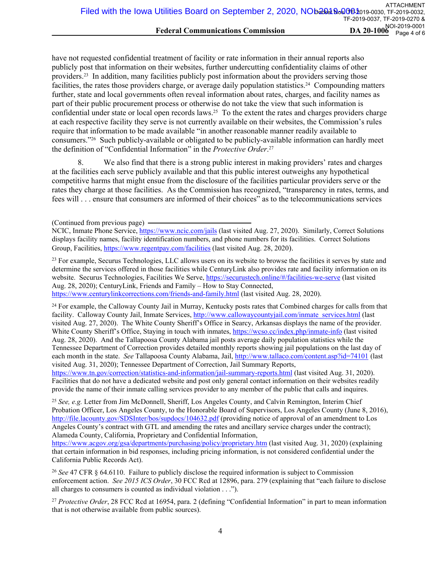have not requested confidential treatment of facility or rate information in their annual reports also publicly post that information on their websites, further undercutting confidentiality claims of other providers.23 In addition, many facilities publicly post information about the providers serving those facilities, the rates those providers charge, or average daily population statistics.24 Compounding matters further, state and local governments often reveal information about rates, charges, and facility names as part of their public procurement process or otherwise do not take the view that such information is confidential under state or local open records laws.25 To the extent the rates and charges providers charge at each respective facility they serve is not currently available on their websites, the Commission's rules require that information to be made available "in another reasonable manner readily available to consumers."26 Such publicly-available or obligated to be publicly-available information can hardly meet the definition of "Confidential Information" in the *Protective Order*. 27

8. We also find that there is a strong public interest in making providers' rates and charges at the facilities each serve publicly available and that this public interest outweighs any hypothetical competitive harms that might ensue from the disclosure of the facilities particular providers serve or the rates they charge at those facilities. As the Commission has recognized, "transparency in rates, terms, and fees will . . . ensure that consumers are informed of their choices" as to the telecommunications services

<sup>23</sup> For example, Securus Technologies, LLC allows users on its website to browse the facilities it serves by state and determine the services offered in those facilities while CenturyLink also provides rate and facility information on its website. Securus Technologies, Facilities We Serve,<https://securustech.online/#/facilities-we-serve>(last visited Aug. 28, 2020); CenturyLink, Friends and Family – How to Stay Connected,

<https://www.centurylinkcorrections.com/friends-and-family.html> (last visited Aug. 28, 2020).

<sup>24</sup> For example, the Calloway County Jail in Murray, Kentucky posts rates that Combined charges for calls from that facility. Calloway County Jail, Inmate Services, [http://www.callowaycountyjail.com/inmate\\_services.html](http://www.callowaycountyjail.com/inmate_services.html) (last visited Aug. 27, 2020). The White County Sheriff's Office in Searcy, Arkansas displays the name of the provider. White County Sheriff's Office, Staying in touch with inmates,<https://wcso.cc/index.php/inmate-info>(last visited Aug. 28, 2020). And the Tallapoosa County Alabama jail posts average daily population statistics while the Tennessee Department of Correction provides detailed monthly reports showing jail populations on the last day of each month in the state. *See* Tallapoosa County Alabama, Jail,<http://www.tallaco.com/content.asp?id=74101> (last visited Aug. 31, 2020); Tennessee Department of Correction, Jail Summary Reports,

<https://www.tn.gov/correction/statistics-and-information/jail-summary-reports.html> (last visited Aug. 31, 2020). Facilities that do not have a dedicated website and post only general contact information on their websites readily provide the name of their inmate calling services provider to any member of the public that calls and inquires.

<sup>25</sup> *See, e.g.* Letter from Jim McDonnell, Sheriff, Los Angeles County, and Calvin Remington, Interim Chief Probation Officer, Los Angeles County, to the Honorable Board of Supervisors, Los Angeles County (June 8, 2016), <http://file.lacounty.gov/SDSInter/bos/supdocs/104632.pdf>(providing notice of approval of an amendment to Los Angeles County's contract with GTL and amending the rates and ancillary service charges under the contract); Alameda County, California, Proprietary and Confidential Information,

<https://www.acgov.org/gsa/departments/purchasing/policy/proprietary.htm> (last visited Aug. 31, 2020) (explaining that certain information in bid responses, including pricing information, is not considered confidential under the California Public Records Act).

<sup>26</sup> *See* 47 CFR § 64.6110. Failure to publicly disclose the required information is subject to Commission enforcement action. *See 2015 ICS Order*, 30 FCC Rcd at 12896, para. 279 (explaining that "each failure to disclose all charges to consumers is counted as individual violation . . .").

<sup>27</sup> *Protective Order*, 28 FCC Rcd at 16954, para. 2 (defining "Confidential Information" in part to mean information that is not otherwise available from public sources).

<sup>(</sup>Continued from previous page)

NCIC, Inmate Phone Service, <https://www.ncic.com/jails> (last visited Aug. 27, 2020). Similarly, Correct Solutions displays facility names, facility identification numbers, and phone numbers for its facilities. Correct Solutions Group, Facilities,<https://www.regentpay.com/facilities>(last visited Aug. 28, 2020).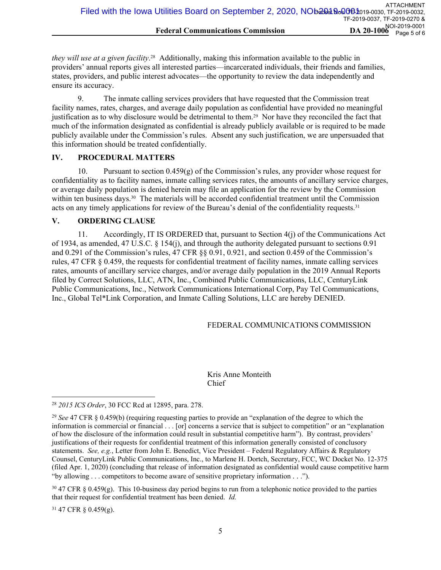*they will use at a given facility*. <sup>28</sup> Additionally, making this information available to the public in providers' annual reports gives all interested parties—incarcerated individuals, their friends and families, states, providers, and public interest advocates—the opportunity to review the data independently and ensure its accuracy.

9. The inmate calling services providers that have requested that the Commission treat facility names, rates, charges, and average daily population as confidential have provided no meaningful justification as to why disclosure would be detrimental to them.29 Nor have they reconciled the fact that much of the information designated as confidential is already publicly available or is required to be made publicly available under the Commission's rules. Absent any such justification, we are unpersuaded that this information should be treated confidentially.

#### **IV. PROCEDURAL MATTERS**

10. Pursuant to section 0.459(g) of the Commission's rules, any provider whose request for confidentiality as to facility names, inmate calling services rates, the amounts of ancillary service charges, or average daily population is denied herein may file an application for the review by the Commission within ten business days.<sup>30</sup> The materials will be accorded confidential treatment until the Commission acts on any timely applications for review of the Bureau's denial of the confidentiality requests.<sup>31</sup>

### **V. ORDERING CLAUSE**

11. Accordingly, IT IS ORDERED that, pursuant to Section 4(j) of the Communications Act of 1934, as amended, 47 U.S.C. § 154(j), and through the authority delegated pursuant to sections 0.91 and 0.291 of the Commission's rules, 47 CFR §§ 0.91, 0.921, and section 0.459 of the Commission's rules, 47 CFR § 0.459, the requests for confidential treatment of facility names, inmate calling services rates, amounts of ancillary service charges, and/or average daily population in the 2019 Annual Reports filed by Correct Solutions, LLC, ATN, Inc., Combined Public Communications, LLC, CenturyLink Public Communications, Inc., Network Communications International Corp, Pay Tel Communications, Inc., Global Tel\*Link Corporation, and Inmate Calling Solutions, LLC are hereby DENIED.

# FEDERAL COMMUNICATIONS COMMISSION

### Kris Anne Monteith Chief

<sup>31</sup> 47 CFR § 0.459(g).

<sup>28</sup> *2015 ICS Order*, 30 FCC Rcd at 12895, para. 278.

<sup>29</sup> *See* 47 CFR § 0.459(b) (requiring requesting parties to provide an "explanation of the degree to which the information is commercial or financial . . . [or] concerns a service that is subject to competition" or an "explanation of how the disclosure of the information could result in substantial competitive harm"). By contrast, providers' justifications of their requests for confidential treatment of this information generally consisted of conclusory statements. *See, e.g.*, Letter from John E. Benedict, Vice President – Federal Regulatory Affairs & Regulatory Counsel, CenturyLink Public Communications, Inc., to Marlene H. Dortch, Secretary, FCC, WC Docket No. 12-375 (filed Apr. 1, 2020) (concluding that release of information designated as confidential would cause competitive harm "by allowing . . . competitors to become aware of sensitive proprietary information . . .").

 $30\,47$  CFR § 0.459(g). This 10-business day period begins to run from a telephonic notice provided to the parties that their request for confidential treatment has been denied. *Id.*